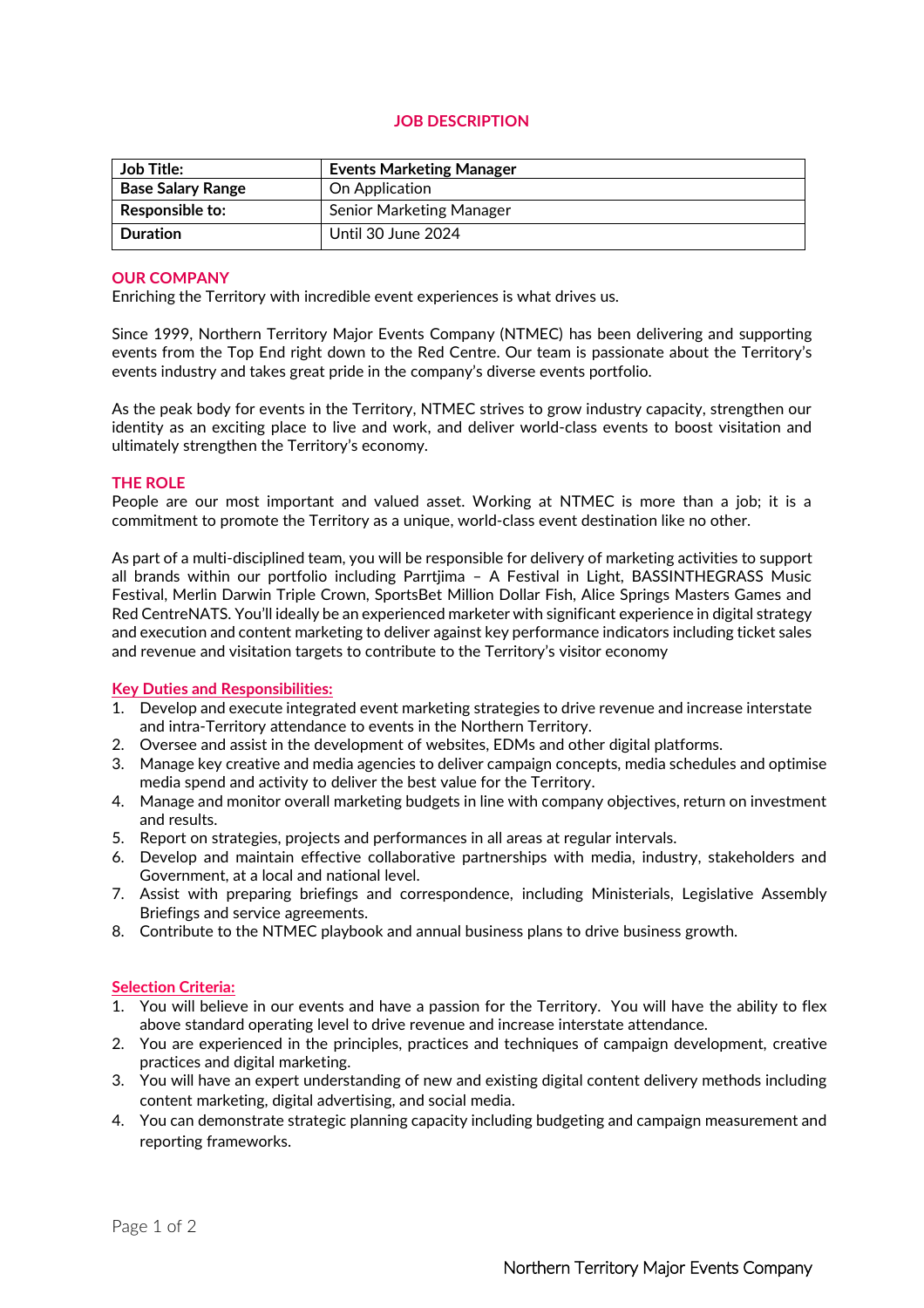# **JOB DESCRIPTION**

| <b>Job Title:</b>        | <b>Events Marketing Manager</b> |
|--------------------------|---------------------------------|
| <b>Base Salary Range</b> | On Application                  |
| <b>Responsible to:</b>   | <b>Senior Marketing Manager</b> |
| <b>Duration</b>          | Until 30 June 2024              |

## **OUR COMPANY**

Enriching the Territory with incredible event experiences is what drives us.

Since 1999, Northern Territory Major Events Company (NTMEC) has been delivering and supporting events from the Top End right down to the Red Centre. Our team is passionate about the Territory's events industry and takes great pride in the company's diverse events portfolio.

As the peak body for events in the Territory, NTMEC strives to grow industry capacity, strengthen our identity as an exciting place to live and work, and deliver world-class events to boost visitation and ultimately strengthen the Territory's economy.

## **THE ROLE**

People are our most important and valued asset. Working at NTMEC is more than a job; it is a commitment to promote the Territory as a unique, world-class event destination like no other.

As part of a multi-disciplined team, you will be responsible for delivery of marketing activities to support all brands within our portfolio including Parrtjima – A Festival in Light, BASSINTHEGRASS Music Festival, Merlin Darwin Triple Crown, SportsBet Million Dollar Fish, Alice Springs Masters Games and Red CentreNATS. You'll ideally be an experienced marketer with significant experience in digital strategy and execution and content marketing to deliver against key performance indicators including ticket sales and revenue and visitation targets to contribute to the Territory's visitor economy

#### **Key Duties and Responsibilities:**

- 1. Develop and execute integrated event marketing strategies to drive revenue and increase interstate and intra-Territory attendance to events in the Northern Territory.
- 2. Oversee and assist in the development of websites, EDMs and other digital platforms.
- 3. Manage key creative and media agencies to deliver campaign concepts, media schedules and optimise media spend and activity to deliver the best value for the Territory.
- 4. Manage and monitor overall marketing budgets in line with company objectives, return on investment and results.
- 5. Report on strategies, projects and performances in all areas at regular intervals.
- 6. Develop and maintain effective collaborative partnerships with media, industry, stakeholders and Government, at a local and national level.
- 7. Assist with preparing briefings and correspondence, including Ministerials, Legislative Assembly Briefings and service agreements.
- 8. Contribute to the NTMEC playbook and annual business plans to drive business growth.

#### **Selection Criteria:**

- 1. You will believe in our events and have a passion for the Territory. You will have the ability to flex above standard operating level to drive revenue and increase interstate attendance.
- 2. You are experienced in the principles, practices and techniques of campaign development, creative practices and digital marketing.
- 3. You will have an expert understanding of new and existing digital content delivery methods including content marketing, digital advertising, and social media.
- 4. You can demonstrate strategic planning capacity including budgeting and campaign measurement and reporting frameworks.